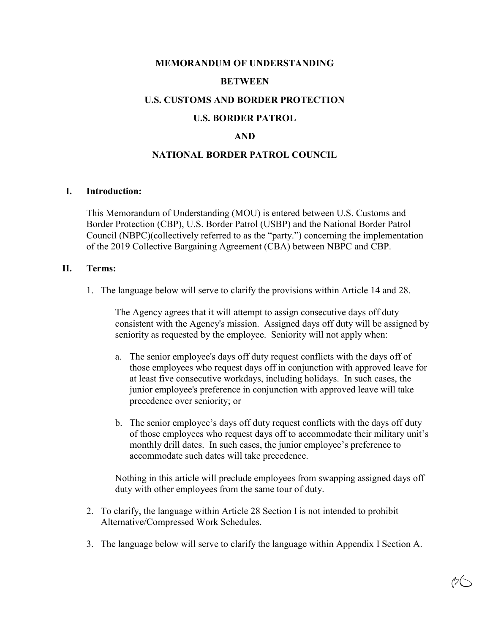# **MEMORANDUM OF UNDERSTANDING BETWEEN U.S. CUSTOMS AND BORDER PROTECTION U.S. BORDER PATROL**

## **AND**

### **NATIONAL BORDER PATROL COUNCIL**

#### **I. Introduction:**

This Memorandum of Understanding (MOU) is entered between U.S. Customs and Border Protection (CBP), U.S. Border Patrol (USBP) and the National Border Patrol Council (NBPC)(collectively referred to as the "party.") concerning the implementation of the 2019 Collective Bargaining Agreement (CBA) between NBPC and CBP.

#### **II. Terms:**

1. The language below will serve to clarify the provisions within Article 14 and 28.

The Agency agrees that it will attempt to assign consecutive days off duty consistent with the Agency's mission. Assigned days off duty will be assigned by seniority as requested by the employee. Seniority will not apply when:

- a. The senior employee's days off duty request conflicts with the days off of those employees who request days off in conjunction with approved leave for at least five consecutive workdays, including holidays. In such cases, the junior employee's preference in conjunction with approved leave will take precedence over seniority; or
- b. The senior employee's days off duty request conflicts with the days off duty of those employees who request days off to accommodate their military unit's monthly drill dates. In such cases, the junior employee's preference to accommodate such dates will take precedence.

Nothing in this article will preclude employees from swapping assigned days off duty with other employees from the same tour of duty.

- 2. To clarify, the language within Article 28 Section I is not intended to prohibit Alternative/Compressed Work Schedules.
- 3. The language below will serve to clarify the language within Appendix I Section A.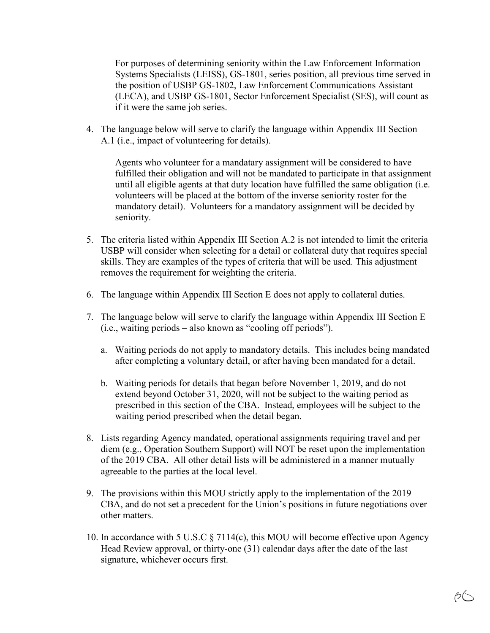For purposes of determining seniority within the Law Enforcement Information Systems Specialists (LEISS), GS-1801, series position, all previous time served in the position of USBP GS-1802, Law Enforcement Communications Assistant (LECA), and USBP GS-1801, Sector Enforcement Specialist (SES), will count as if it were the same job series.

4. The language below will serve to clarify the language within Appendix III Section A.1 (i.e., impact of volunteering for details).

Agents who volunteer for a mandatary assignment will be considered to have fulfilled their obligation and will not be mandated to participate in that assignment until all eligible agents at that duty location have fulfilled the same obligation (i.e. volunteers will be placed at the bottom of the inverse seniority roster for the mandatory detail). Volunteers for a mandatory assignment will be decided by seniority.

- 5. The criteria listed within Appendix III Section A.2 is not intended to limit the criteria USBP will consider when selecting for a detail or collateral duty that requires special skills. They are examples of the types of criteria that will be used. This adjustment removes the requirement for weighting the criteria.
- 6. The language within Appendix III Section E does not apply to collateral duties.
- 7. The language below will serve to clarify the language within Appendix III Section  $E$  $(i.e., waiting periods - also known as "cooling off periods").$ 
	- a. Waiting periods do not apply to mandatory details. This includes being mandated after completing a voluntary detail, or after having been mandated for a detail.
	- b. Waiting periods for details that began before November 1, 2019, and do not extend beyond October 31, 2020, will not be subject to the waiting period as prescribed in this section of the CBA. Instead, employees will be subject to the waiting period prescribed when the detail began.
- 8. Lists regarding Agenc\ mandated, operational assignments requiring travel and per diem (e.g., Operation Southern Support) will NOT be reset upon the implementation of the 2019 CBA. All other detail lists will be administered in a manner mutuall\ agreeable to the parties at the local level.
- 9. The provisions within this MOU strictly apply to the implementation of the 2019 CBA, and do not set a precedent for the Union's positions in future negotiations over other matters.
- 10. In accordance with 5 U.S.C  $\S 7114(c)$ , this MOU will become effective upon Agency Head Review approval, or thirty-one  $(31)$  calendar days after the date of the last signature, whichever occurs first.